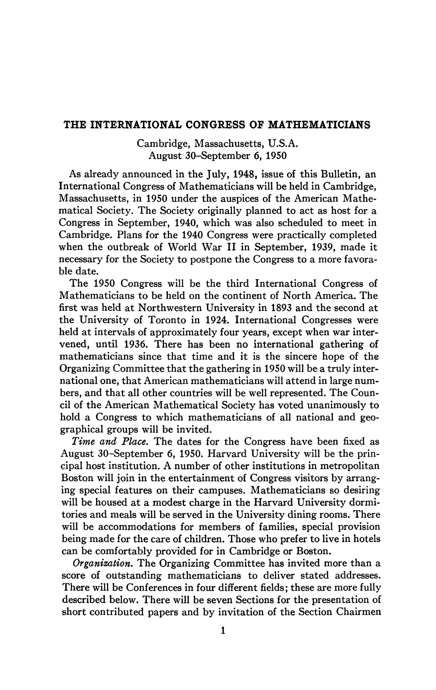## **THE INTERNATIONAL CONGRESS OF MATHEMATICIANS**

Cambridge, Massachusetts, U.S.A. August 30-September 6, 1950

As already announced in the July, 1948, issue of this Bulletin, an International Congress of Mathematicians will be held in Cambridge, Massachusetts, in 1950 under the auspices of the American Mathematical Society. The Society originally planned to act as host for a Congress in September, 1940, which was also scheduled to meet in Cambridge. Plans for the 1940 Congress were practically completed when the outbreak of World War II in September, 1939, made it necessary for the Society to postpone the Congress to a more favorable date.

The 1950 Congress will be the third International Congress of Mathematicians to be held on the continent of North America. The first was held at Northwestern University in 1893 and the second at the University of Toronto in 1924. International Congresses were held at intervals of approximately four years, except when war intervened, until 1936. There has been no international gathering of mathematicians since that time and it is the sincere hope of the Organizing Committee that the gathering in 1950 will be a truly international one, that American mathematicians will attend in large numbers, and that all other countries will be well represented. The Council of the American Mathematical Society has voted unanimously to hold a Congress to which mathematicians of all national and geographical groups will be invited.

*Time and Place.* The dates for the Congress have been fixed as August 30-September 6, 1950. Harvard University will be the principal host institution. A number of other institutions in metropolitan Boston will join in the entertainment of Congress visitors by arranging special features on their campuses. Mathematicians so desiring will be housed at a modest charge in the Harvard University dormitories and meals will be served in the University dining rooms. There will be accommodations for members of families, special provision being made for the care of children. Those who prefer to live in hotels can be comfortably provided for in Cambridge or Boston.

*Organization.* The Organizing Committee has invited more than a score of outstanding mathematicians to deliver stated addresses. There will be Conferences in four different fields; these are more fully described below. There will be seven Sections for the presentation of short contributed papers and by invitation of the Section Chairmen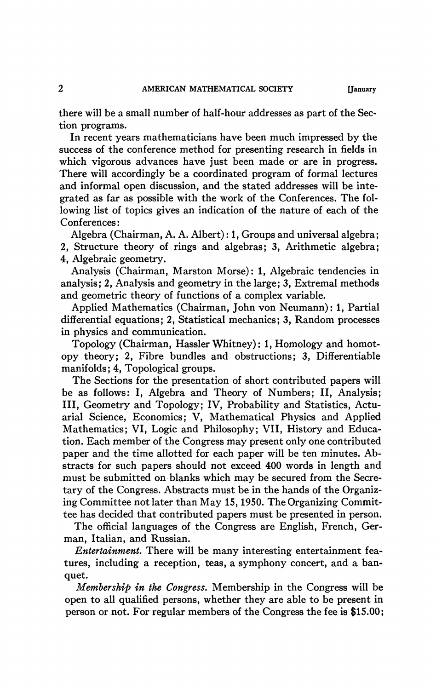there will be a small number of half-hour addresses as part of the Section programs.

In recent years mathematicians have been much impressed by the success of the conference method for presenting research in fields in which vigorous advances have just been made or are in progress. There will accordingly be a coordinated program of formal lectures and informal open discussion, and the stated addresses will be integrated as far as possible with the work of the Conferences. The following list of topics gives an indication of the nature of each of the Conferences:

Algebra (Chairman, A. A. Albert) : 1, Groups and universal algebra; 2, Structure theory of rings and algebras; 3, Arithmetic algebra; 4, Algebraic geometry.

Analysis (Chairman, Marston Morse): 1, Algebraic tendencies in analysis; 2, Analysis and geometry in the large; 3, Extremal methods and geometric theory of functions of a complex variable.

Applied Mathematics (Chairman, John von Neumann): 1, Partial differential equations; 2, Statistical mechanics; 3, Random processes in physics and communication.

Topology (Chairman, Hassler Whitney) : 1, Homology and homotopy theory: 2, Fibre bundles and obstructions: 3, Differentiable manifolds; 4, Topological groups.

The Sections for the presentation of short contributed papers will be as follows: I, Algebra and Theory of Numbers; II, Analysis; III, Geometry and Topology; IV, Probability and Statistics, Actuarial Science, Economics; V, Mathematical Physics and Applied Mathematics; VI, Logic and Philosophy; VII, History and Education. Each member of the Congress may present only one contributed paper and the time allotted for each paper will be ten minutes. Abstracts for such papers should not exceed 400 words in length and must be submitted on blanks which may be secured from the Secretary of the Congress. Abstracts must be in the hands of the Organizing Committee not later than May IS, 1950. The Organizing Committee has decided that contributed papers must be presented in person.

The official languages of the Congress are English, French, German, Italian, and Russian.

*Entertainment.* There will be many interesting entertainment features, including a reception, teas, a symphony concert, and a banquet.

*Membership in the Congress.* Membership in the Congress will be open to all qualified persons, whether they are able to be present in person or not. For regular members of the Congress the fee is \$15.00;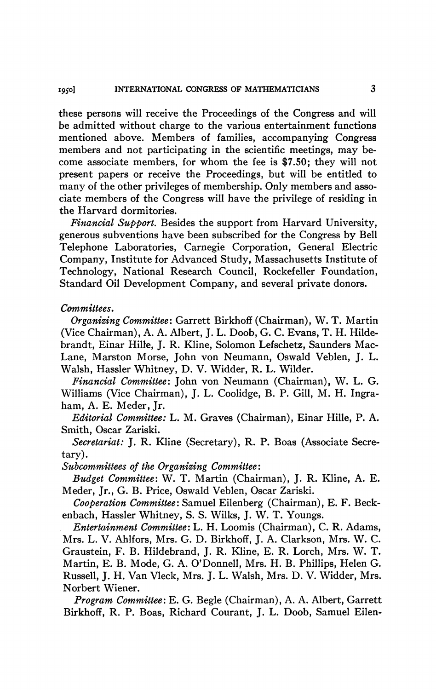these persons will receive the Proceedings of the Congress and will be admitted without charge to the various entertainment functions mentioned above. Members of families, accompanying Congress members and not participating in the scientific meetings, may become associate members, for whom the fee is \$7.50; they will not present papers or receive the Proceedings, but will be entitled to many of the other privileges of membership. Only members and associate members of the Congress will have the privilege of residing in the Harvard dormitories.

*Financial Support,* Besides the support from Harvard University, generous subventions have been subscribed for the Congress by Bell Telephone Laboratories, Carnegie Corporation, General Electric Company, Institute for Advanced Study, Massachusetts Institute of Technology, National Research Council, Rockefeller Foundation, Standard Oil Development Company, and several private donors.

## *Committees.*

*Organizing Committee:* Garrett Birkhoff (Chairman), W. T. Martin (Vice Chairman), A. A. Albert, J. L. Doob, G. C. Evans, T. H. Hildebrandt, Einar Hille, J. R. Kline, Solomon Lefschetz, Saunders Mac-Lane, Marston Morse, John von Neumann, Oswald Veblen, J. L. Walsh, Hassler Whitney, D. V. Widder, R. L. Wilder.

*Financial Committee:* John von Neumann (Chairman), W. L. G. Williams (Vice Chairman), J. L. Coolidge, B. P. Gill, M. H. Ingraham, A. E. Meder, Jr.

*Editorial Committee:* L. M. Graves (Chairman), Einar Hille, P. A. Smith, Oscar Zariski.

*Secretariat:* J. R. Kline (Secretary), R. P. Boas (Associate Secretary).

*Subcommittees of the Organizing Committee:* 

*Budget Committee:* W. T. Martin (Chairman), J. R. Kline, A. E. Meder, Jr., G. B. Price, Oswald Veblen, Oscar Zariski.

*Cooperation Committee:* Samuel Eilenberg (Chairman), E. F. Beckenbach, Hassler Whitney, S. S. Wilks, J. W. T. Youngs.

*Entertainment Committee:* L. H. Loomis (Chairman), C. R. Adams, Mrs. L. V. Ahlfors, Mrs. G. D. Birkhoff, J. A. Clarkson, Mrs. W. C. Graustein, F. B. Hildebrand, J. R. Kline, E. R. Lorch, Mrs. W. T. Martin, E. B. Mode, G. A. O'Donnell, Mrs. H. B. Phillips, Helen G. Russell, J. H. Van Vleck, Mrs. J. L. Walsh, Mrs. D. V. Widder, Mrs. Norbert Wiener.

*Program Committee:* E. G. Begle (Chairman), A. A. Albert, Garrett Birkhoff, R. P. Boas, Richard Courant, J. L. Doob, Samuel Eilen